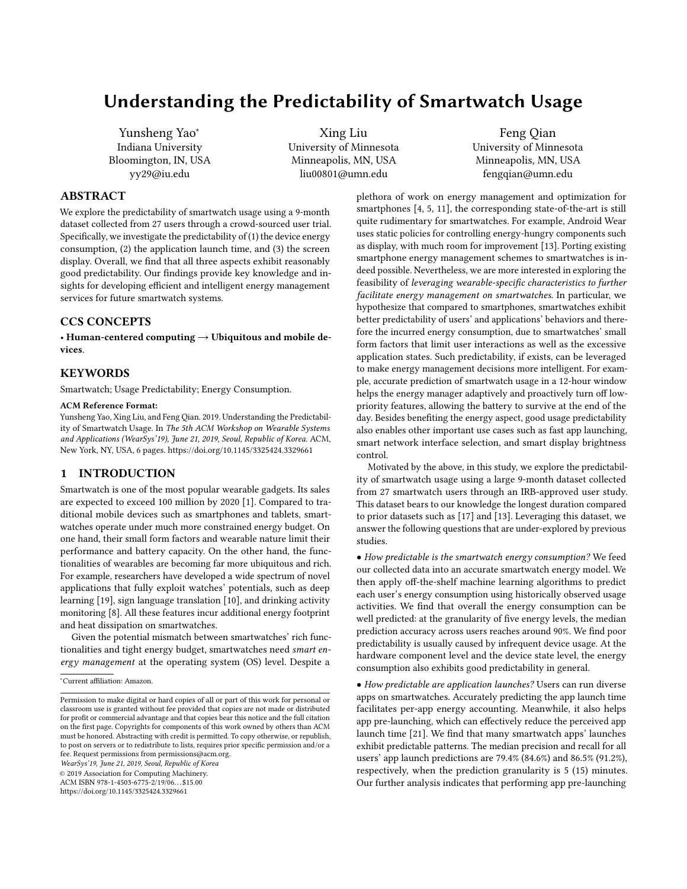# Understanding the Predictability of Smartwatch Usage

Yunsheng Yao<sup>∗</sup> Indiana University Bloomington, IN, USA yy29@iu.edu

Xing Liu University of Minnesota Minneapolis, MN, USA liu00801@umn.edu

Feng Qian University of Minnesota Minneapolis, MN, USA fengqian@umn.edu

## ABSTRACT

We explore the predictability of smartwatch usage using a 9-month dataset collected from 27 users through a crowd-sourced user trial. Specifically, we investigate the predictability of (1) the device energy consumption, (2) the application launch time, and (3) the screen display. Overall, we find that all three aspects exhibit reasonably good predictability. Our findings provide key knowledge and insights for developing efficient and intelligent energy management services for future smartwatch systems.

# CCS CONCEPTS

• Human-centered computing  $\rightarrow$  Ubiquitous and mobile devices.

#### **KEYWORDS**

Smartwatch; Usage Predictability; Energy Consumption.

#### ACM Reference Format:

Yunsheng Yao, Xing Liu, and Feng Qian. 2019. Understanding the Predictability of Smartwatch Usage. In The 5th ACM Workshop on Wearable Systems and Applications (WearSys'19), June 21, 2019, Seoul, Republic of Korea. ACM, New York, NY, USA, [6](#page-5-0) pages.<https://doi.org/10.1145/3325424.3329661>

# <span id="page-0-0"></span>1 INTRODUCTION

Smartwatch is one of the most popular wearable gadgets. Its sales are expected to exceed 100 million by 2020 [\[1\]](#page-5-1). Compared to traditional mobile devices such as smartphones and tablets, smartwatches operate under much more constrained energy budget. On one hand, their small form factors and wearable nature limit their performance and battery capacity. On the other hand, the functionalities of wearables are becoming far more ubiquitous and rich. For example, researchers have developed a wide spectrum of novel applications that fully exploit watches' potentials, such as deep learning [\[19\]](#page-5-2), sign language translation [\[10\]](#page-5-3), and drinking activity monitoring [\[8\]](#page-5-4). All these features incur additional energy footprint and heat dissipation on smartwatches.

Given the potential mismatch between smartwatches' rich functionalities and tight energy budget, smartwatches need smart energy management at the operating system (OS) level. Despite a

WearSys'19, June 21, 2019, Seoul, Republic of Korea

© 2019 Association for Computing Machinery.

ACM ISBN 978-1-4503-6775-2/19/06. . . \$15.00

<https://doi.org/10.1145/3325424.3329661>

plethora of work on energy management and optimization for smartphones [\[4,](#page-5-5) [5,](#page-5-6) [11\]](#page-5-7), the corresponding state-of-the-art is still quite rudimentary for smartwatches. For example, Android Wear uses static policies for controlling energy-hungry components such as display, with much room for improvement [\[13\]](#page-5-8). Porting existing smartphone energy management schemes to smartwatches is indeed possible. Nevertheless, we are more interested in exploring the feasibility of leveraging wearable-specific characteristics to further facilitate energy management on smartwatches. In particular, we hypothesize that compared to smartphones, smartwatches exhibit better predictability of users' and applications' behaviors and therefore the incurred energy consumption, due to smartwatches' small form factors that limit user interactions as well as the excessive application states. Such predictability, if exists, can be leveraged to make energy management decisions more intelligent. For example, accurate prediction of smartwatch usage in a 12-hour window helps the energy manager adaptively and proactively turn off lowpriority features, allowing the battery to survive at the end of the day. Besides benefiting the energy aspect, good usage predictability also enables other important use cases such as fast app launching, smart network interface selection, and smart display brightness control.

Motivated by the above, in this study, we explore the predictability of smartwatch usage using a large 9-month dataset collected from 27 smartwatch users through an IRB-approved user study. This dataset bears to our knowledge the longest duration compared to prior datasets such as [\[17\]](#page-5-9) and [\[13\]](#page-5-8). Leveraging this dataset, we answer the following questions that are under-explored by previous studies.

• How predictable is the smartwatch energy consumption? We feed our collected data into an accurate smartwatch energy model. We then apply off-the-shelf machine learning algorithms to predict each user's energy consumption using historically observed usage activities. We find that overall the energy consumption can be well predicted: at the granularity of five energy levels, the median prediction accuracy across users reaches around 90%. We find poor predictability is usually caused by infrequent device usage. At the hardware component level and the device state level, the energy consumption also exhibits good predictability in general.

• How predictable are application launches? Users can run diverse apps on smartwatches. Accurately predicting the app launch time facilitates per-app energy accounting. Meanwhile, it also helps app pre-launching, which can effectively reduce the perceived app launch time [\[21\]](#page-5-10). We find that many smartwatch apps' launches exhibit predictable patterns. The median precision and recall for all users' app launch predictions are 79.4% (84.6%) and 86.5% (91.2%), respectively, when the prediction granularity is 5 (15) minutes. Our further analysis indicates that performing app pre-launching

<sup>∗</sup>Current affiliation: Amazon.

Permission to make digital or hard copies of all or part of this work for personal or classroom use is granted without fee provided that copies are not made or distributed for profit or commercial advantage and that copies bear this notice and the full citation on the first page. Copyrights for components of this work owned by others than ACM must be honored. Abstracting with credit is permitted. To copy otherwise, or republish, to post on servers or to redistribute to lists, requires prior specific permission and/or a fee. Request permissions from permissions@acm.org.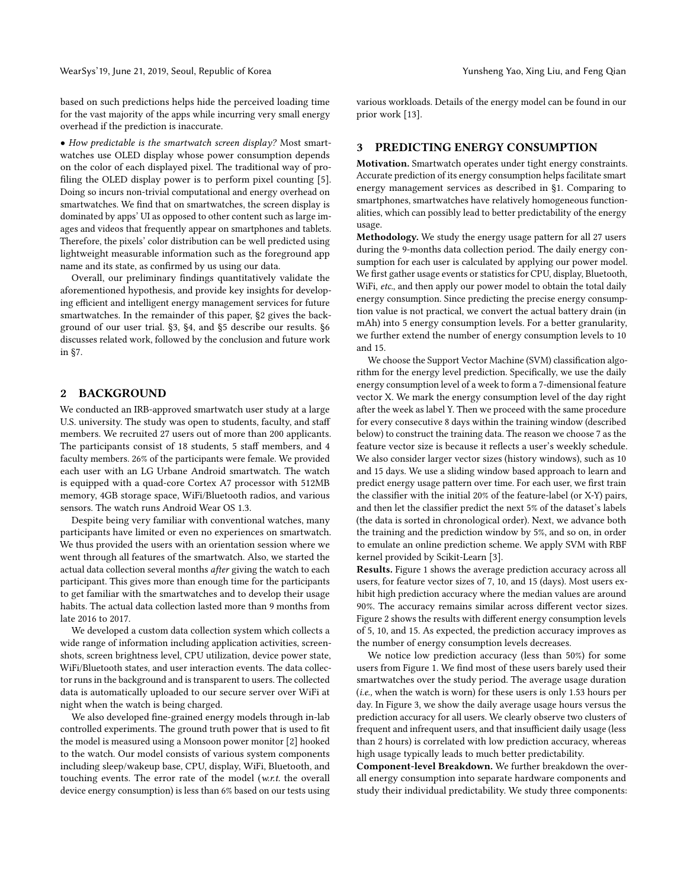WearSys' 19, June 21, 2019, Seoul, Republic of Korea Yunsheng Yunsheng Yao, Xing Liu, and Feng Qian

based on such predictions helps hide the perceived loading time for the vast majority of the apps while incurring very small energy overhead if the prediction is inaccurate.

• How predictable is the smartwatch screen display? Most smartwatches use OLED display whose power consumption depends on the color of each displayed pixel. The traditional way of profiling the OLED display power is to perform pixel counting [\[5\]](#page-5-6). Doing so incurs non-trivial computational and energy overhead on smartwatches. We find that on smartwatches, the screen display is dominated by apps' UI as opposed to other content such as large images and videos that frequently appear on smartphones and tablets. Therefore, the pixels' color distribution can be well predicted using lightweight measurable information such as the foreground app name and its state, as confirmed by us using our data.

Overall, our preliminary findings quantitatively validate the aforementioned hypothesis, and provide key insights for developing efficient and intelligent energy management services for future smartwatches. In the remainder of this paper, [§2](#page-1-0) gives the background of our user trial. [§3,](#page-1-1) [§4,](#page-2-0) and [§5](#page-4-0) describe our results. [§6](#page-5-11) discusses related work, followed by the conclusion and future work in [§7.](#page-5-12)

#### <span id="page-1-0"></span>2 BACKGROUND

We conducted an IRB-approved smartwatch user study at a large U.S. university. The study was open to students, faculty, and staff members. We recruited 27 users out of more than 200 applicants. The participants consist of 18 students, 5 staff members, and 4 faculty members. 26% of the participants were female. We provided each user with an LG Urbane Android smartwatch. The watch is equipped with a quad-core Cortex A7 processor with 512MB memory, 4GB storage space, WiFi/Bluetooth radios, and various sensors. The watch runs Android Wear OS 1.3.

Despite being very familiar with conventional watches, many participants have limited or even no experiences on smartwatch. We thus provided the users with an orientation session where we went through all features of the smartwatch. Also, we started the actual data collection several months after giving the watch to each participant. This gives more than enough time for the participants to get familiar with the smartwatches and to develop their usage habits. The actual data collection lasted more than 9 months from late 2016 to 2017.

We developed a custom data collection system which collects a wide range of information including application activities, screenshots, screen brightness level, CPU utilization, device power state, WiFi/Bluetooth states, and user interaction events. The data collector runs in the background and is transparent to users. The collected data is automatically uploaded to our secure server over WiFi at night when the watch is being charged.

We also developed fine-grained energy models through in-lab controlled experiments. The ground truth power that is used to fit the model is measured using a Monsoon power monitor [\[2\]](#page-5-13) hooked to the watch. Our model consists of various system components including sleep/wakeup base, CPU, display, WiFi, Bluetooth, and touching events. The error rate of the model (w.r.t. the overall device energy consumption) is less than 6% based on our tests using various workloads. Details of the energy model can be found in our prior work [\[13\]](#page-5-8).

### <span id="page-1-1"></span>3 PREDICTING ENERGY CONSUMPTION

Motivation. Smartwatch operates under tight energy constraints. Accurate prediction of its energy consumption helps facilitate smart energy management services as described in [§1.](#page-0-0) Comparing to smartphones, smartwatches have relatively homogeneous functionalities, which can possibly lead to better predictability of the energy usage.

Methodology. We study the energy usage pattern for all 27 users during the 9-months data collection period. The daily energy consumption for each user is calculated by applying our power model. We first gather usage events or statistics for CPU, display, Bluetooth, WiFi, etc., and then apply our power model to obtain the total daily energy consumption. Since predicting the precise energy consumption value is not practical, we convert the actual battery drain (in mAh) into 5 energy consumption levels. For a better granularity, we further extend the number of energy consumption levels to 10 and 15.

We choose the Support Vector Machine (SVM) classification algorithm for the energy level prediction. Specifically, we use the daily energy consumption level of a week to form a 7-dimensional feature vector X. We mark the energy consumption level of the day right after the week as label Y. Then we proceed with the same procedure for every consecutive 8 days within the training window (described below) to construct the training data. The reason we choose 7 as the feature vector size is because it reflects a user's weekly schedule. We also consider larger vector sizes (history windows), such as 10 and 15 days. We use a sliding window based approach to learn and predict energy usage pattern over time. For each user, we first train the classifier with the initial 20% of the feature-label (or X-Y) pairs, and then let the classifier predict the next 5% of the dataset's labels (the data is sorted in chronological order). Next, we advance both the training and the prediction window by 5%, and so on, in order to emulate an online prediction scheme. We apply SVM with RBF kernel provided by Scikit-Learn [\[3\]](#page-5-14).

Results. Figure [1](#page-2-1) shows the average prediction accuracy across all users, for feature vector sizes of 7, 10, and 15 (days). Most users exhibit high prediction accuracy where the median values are around 90%. The accuracy remains similar across different vector sizes. Figure [2](#page-2-1) shows the results with different energy consumption levels of 5, 10, and 15. As expected, the prediction accuracy improves as the number of energy consumption levels decreases.

We notice low prediction accuracy (less than 50%) for some users from Figure [1.](#page-2-1) We find most of these users barely used their smartwatches over the study period. The average usage duration (i.e., when the watch is worn) for these users is only 1.53 hours per day. In Figure [3,](#page-2-1) we show the daily average usage hours versus the prediction accuracy for all users. We clearly observe two clusters of frequent and infrequent users, and that insufficient daily usage (less than 2 hours) is correlated with low prediction accuracy, whereas high usage typically leads to much better predictability.

Component-level Breakdown. We further breakdown the overall energy consumption into separate hardware components and study their individual predictability. We study three components: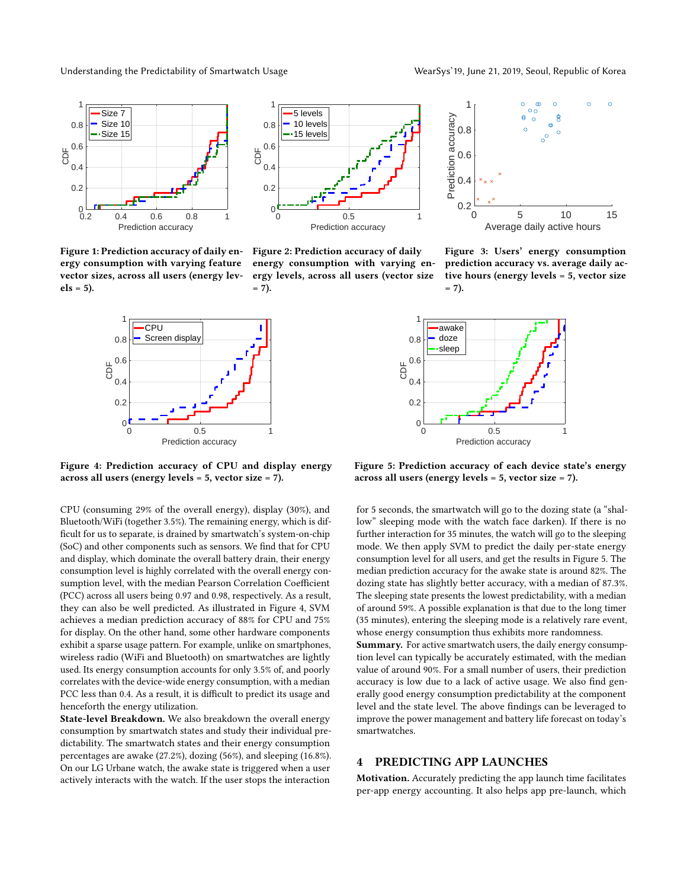Understanding the Predictability of Smartwatch Usage WearSys'19, June 21, 2019, Seoul, Republic of Korea

<span id="page-2-1"></span>



Figure 1: Prediction accuracy of daily energy consumption with varying feature vector sizes, across all users (energy lev $els = 5$ ).

Figure 2: Prediction accuracy of daily energy consumption with varying energy levels, across all users (vector size  $= 7$ ).

<span id="page-2-2"></span>

Figure 4: Prediction accuracy of CPU and display energy across all users (energy levels = 5, vector size = 7).

CPU (consuming 29% of the overall energy), display (30%), and Bluetooth/WiFi (together 3.5%). The remaining energy, which is difficult for us to separate, is drained by smartwatch's system-on-chip (SoC) and other components such as sensors. We find that for CPU and display, which dominate the overall battery drain, their energy consumption level is highly correlated with the overall energy consumption level, with the median Pearson Correlation Coefficient (PCC) across all users being 0.97 and 0.98, respectively. As a result, they can also be well predicted. As illustrated in Figure [4,](#page-2-2) SVM achieves a median prediction accuracy of 88% for CPU and 75% for display. On the other hand, some other hardware components exhibit a sparse usage pattern. For example, unlike on smartphones, wireless radio (WiFi and Bluetooth) on smartwatches are lightly used. Its energy consumption accounts for only 3.5% of, and poorly correlates with the device-wide energy consumption, with a median PCC less than 0.4. As a result, it is difficult to predict its usage and henceforth the energy utilization.

State-level Breakdown. We also breakdown the overall energy consumption by smartwatch states and study their individual predictability. The smartwatch states and their energy consumption percentages are awake (27.2%), dozing (56%), and sleeping (16.8%). On our LG Urbane watch, the awake state is triggered when a user actively interacts with the watch. If the user stops the interaction



Figure 3: Users' energy consumption prediction accuracy vs. average daily active hours (energy levels = 5, vector size  $= 7).$ 



Figure 5: Prediction accuracy of each device state's energy across all users (energy levels = 5, vector size = 7).

for 5 seconds, the smartwatch will go to the dozing state (a "shallow" sleeping mode with the watch face darken). If there is no further interaction for 35 minutes, the watch will go to the sleeping mode. We then apply SVM to predict the daily per-state energy consumption level for all users, and get the results in Figure [5.](#page-2-2) The median prediction accuracy for the awake state is around 82%. The dozing state has slightly better accuracy, with a median of 87.3%. The sleeping state presents the lowest predictability, with a median of around 59%. A possible explanation is that due to the long timer (35 minutes), entering the sleeping mode is a relatively rare event, whose energy consumption thus exhibits more randomness.

Summary. For active smartwatch users, the daily energy consumption level can typically be accurately estimated, with the median value of around 90%. For a small number of users, their prediction accuracy is low due to a lack of active usage. We also find generally good energy consumption predictability at the component level and the state level. The above findings can be leveraged to improve the power management and battery life forecast on today's smartwatches.

## <span id="page-2-0"></span>4 PREDICTING APP LAUNCHES

Motivation. Accurately predicting the app launch time facilitates per-app energy accounting. It also helps app pre-launch, which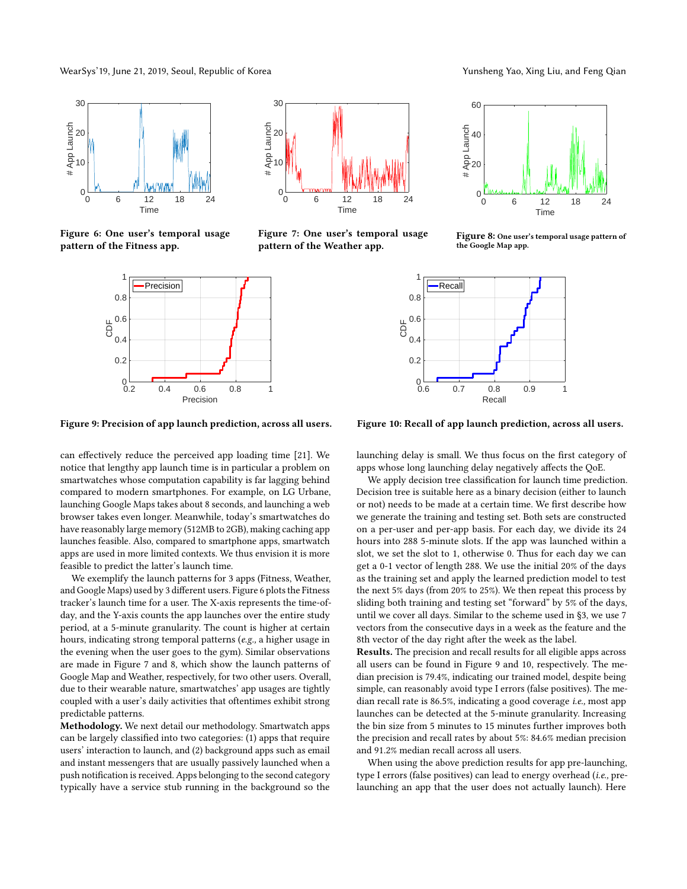WearSys' 19, June 21, 2019, Seoul, Republic of Korea Yunsheng Yunsheng Yao, Xing Liu, and Feng Qian

<span id="page-3-0"></span>

<span id="page-3-1"></span>Figure 6: One user's temporal usage pattern of the Fitness app.



Figure 9: Precision of app launch prediction, across all users.

can effectively reduce the perceived app loading time [\[21\]](#page-5-10). We notice that lengthy app launch time is in particular a problem on smartwatches whose computation capability is far lagging behind compared to modern smartphones. For example, on LG Urbane, launching Google Maps takes about 8 seconds, and launching a web browser takes even longer. Meanwhile, today's smartwatches do have reasonably large memory (512MB to 2GB), making caching app launches feasible. Also, compared to smartphone apps, smartwatch apps are used in more limited contexts. We thus envision it is more feasible to predict the latter's launch time.

We exemplify the launch patterns for 3 apps (Fitness, Weather, and Google Maps) used by 3 different users. Figure [6](#page-3-0) plots the Fitness tracker's launch time for a user. The X-axis represents the time-ofday, and the Y-axis counts the app launches over the entire study period, at a 5-minute granularity. The count is higher at certain hours, indicating strong temporal patterns (e.g., a higher usage in the evening when the user goes to the gym). Similar observations are made in Figure [7](#page-3-0) and [8,](#page-3-0) which show the launch patterns of Google Map and Weather, respectively, for two other users. Overall, due to their wearable nature, smartwatches' app usages are tightly coupled with a user's daily activities that oftentimes exhibit strong predictable patterns.

Methodology. We next detail our methodology. Smartwatch apps can be largely classified into two categories: (1) apps that require users' interaction to launch, and (2) background apps such as email and instant messengers that are usually passively launched when a push notification is received. Apps belonging to the second category typically have a service stub running in the background so the

0 6 12 18 24 Time  $0\frac{L}{0}$ 10 20 30 App Launch

Figure 7: One user's temporal usage pattern of the Weather app.



Figure 10: Recall of app launch prediction, across all users.

launching delay is small. We thus focus on the first category of apps whose long launching delay negatively affects the QoE.

We apply decision tree classification for launch time prediction. Decision tree is suitable here as a binary decision (either to launch or not) needs to be made at a certain time. We first describe how we generate the training and testing set. Both sets are constructed on a per-user and per-app basis. For each day, we divide its 24 hours into 288 5-minute slots. If the app was launched within a slot, we set the slot to 1, otherwise 0. Thus for each day we can get a 0-1 vector of length 288. We use the initial 20% of the days as the training set and apply the learned prediction model to test the next 5% days (from 20% to 25%). We then repeat this process by sliding both training and testing set "forward" by 5% of the days, until we cover all days. Similar to the scheme used in [§3,](#page-1-1) we use 7 vectors from the consecutive days in a week as the feature and the 8th vector of the day right after the week as the label.

Results. The precision and recall results for all eligible apps across all users can be found in Figure [9](#page-3-1) and [10,](#page-3-1) respectively. The median precision is 79.4%, indicating our trained model, despite being simple, can reasonably avoid type I errors (false positives). The median recall rate is 86.5%, indicating a good coverage *i.e.*, most app launches can be detected at the 5-minute granularity. Increasing the bin size from 5 minutes to 15 minutes further improves both the precision and recall rates by about 5%: 84.6% median precision and 91.2% median recall across all users.

When using the above prediction results for app pre-launching, type I errors (false positives) can lead to energy overhead (i.e., prelaunching an app that the user does not actually launch). Here



Figure 8: One user's temporal usage pattern of the Google Map app.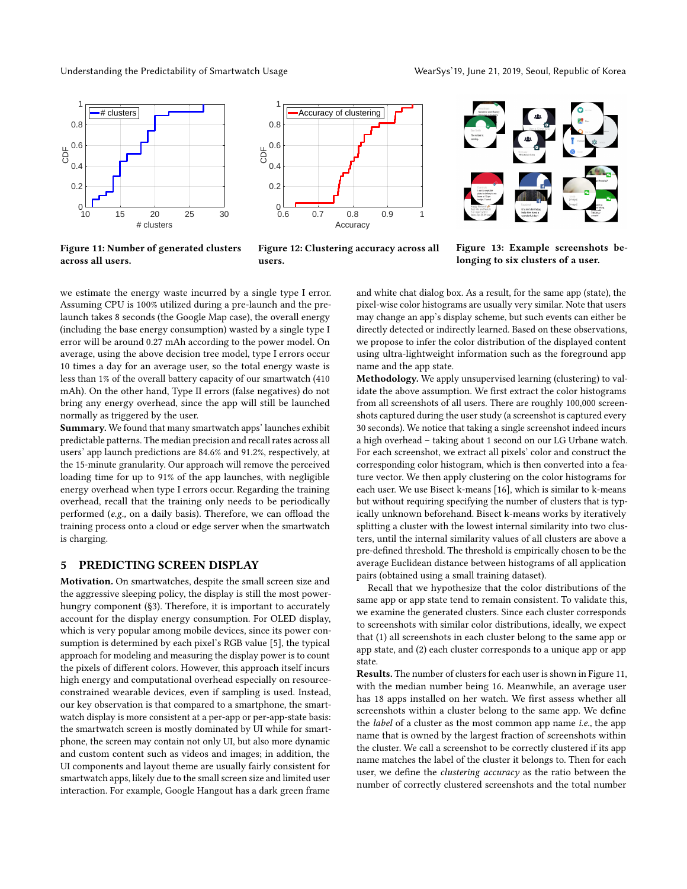Understanding the Predictability of Smartwatch Usage WearSys'19, June 21, 2019, Seoul, Republic of Korea

<span id="page-4-1"></span>



Figure 11: Number of generated clusters across all users.



Figure 13: Example screenshots belonging to six clusters of a user.

we estimate the energy waste incurred by a single type I error. Assuming CPU is 100% utilized during a pre-launch and the prelaunch takes 8 seconds (the Google Map case), the overall energy (including the base energy consumption) wasted by a single type I error will be around 0.27 mAh according to the power model. On average, using the above decision tree model, type I errors occur 10 times a day for an average user, so the total energy waste is less than 1% of the overall battery capacity of our smartwatch (410 mAh). On the other hand, Type II errors (false negatives) do not bring any energy overhead, since the app will still be launched normally as triggered by the user.

Summary. We found that many smartwatch apps' launches exhibit predictable patterns. The median precision and recall rates across all users' app launch predictions are 84.6% and 91.2%, respectively, at the 15-minute granularity. Our approach will remove the perceived loading time for up to 91% of the app launches, with negligible energy overhead when type I errors occur. Regarding the training overhead, recall that the training only needs to be periodically performed (e.g., on a daily basis). Therefore, we can offload the training process onto a cloud or edge server when the smartwatch is charging.

# <span id="page-4-0"></span>5 PREDICTING SCREEN DISPLAY

Motivation. On smartwatches, despite the small screen size and the aggressive sleeping policy, the display is still the most powerhungry component ([§3\)](#page-1-1). Therefore, it is important to accurately account for the display energy consumption. For OLED display, which is very popular among mobile devices, since its power consumption is determined by each pixel's RGB value [\[5\]](#page-5-6), the typical approach for modeling and measuring the display power is to count the pixels of different colors. However, this approach itself incurs high energy and computational overhead especially on resourceconstrained wearable devices, even if sampling is used. Instead, our key observation is that compared to a smartphone, the smartwatch display is more consistent at a per-app or per-app-state basis: the smartwatch screen is mostly dominated by UI while for smartphone, the screen may contain not only UI, but also more dynamic and custom content such as videos and images; in addition, the UI components and layout theme are usually fairly consistent for smartwatch apps, likely due to the small screen size and limited user interaction. For example, Google Hangout has a dark green frame

and white chat dialog box. As a result, for the same app (state), the pixel-wise color histograms are usually very similar. Note that users may change an app's display scheme, but such events can either be directly detected or indirectly learned. Based on these observations, we propose to infer the color distribution of the displayed content using ultra-lightweight information such as the foreground app name and the app state.

Methodology. We apply unsupervised learning (clustering) to validate the above assumption. We first extract the color histograms from all screenshots of all users. There are roughly 100,000 screenshots captured during the user study (a screenshot is captured every 30 seconds). We notice that taking a single screenshot indeed incurs a high overhead – taking about 1 second on our LG Urbane watch. For each screenshot, we extract all pixels' color and construct the corresponding color histogram, which is then converted into a feature vector. We then apply clustering on the color histograms for each user. We use Bisect k-means [\[16\]](#page-5-15), which is similar to k-means but without requiring specifying the number of clusters that is typically unknown beforehand. Bisect k-means works by iteratively splitting a cluster with the lowest internal similarity into two clusters, until the internal similarity values of all clusters are above a pre-defined threshold. The threshold is empirically chosen to be the average Euclidean distance between histograms of all application pairs (obtained using a small training dataset).

Recall that we hypothesize that the color distributions of the same app or app state tend to remain consistent. To validate this, we examine the generated clusters. Since each cluster corresponds to screenshots with similar color distributions, ideally, we expect that (1) all screenshots in each cluster belong to the same app or app state, and (2) each cluster corresponds to a unique app or app state.

Results. The number of clusters for each user is shown in Figure [11,](#page-4-1) with the median number being 16. Meanwhile, an average user has 18 apps installed on her watch. We first assess whether all screenshots within a cluster belong to the same app. We define the *label* of a cluster as the most common app name *i.e.*, the app name that is owned by the largest fraction of screenshots within the cluster. We call a screenshot to be correctly clustered if its app name matches the label of the cluster it belongs to. Then for each user, we define the clustering accuracy as the ratio between the number of correctly clustered screenshots and the total number